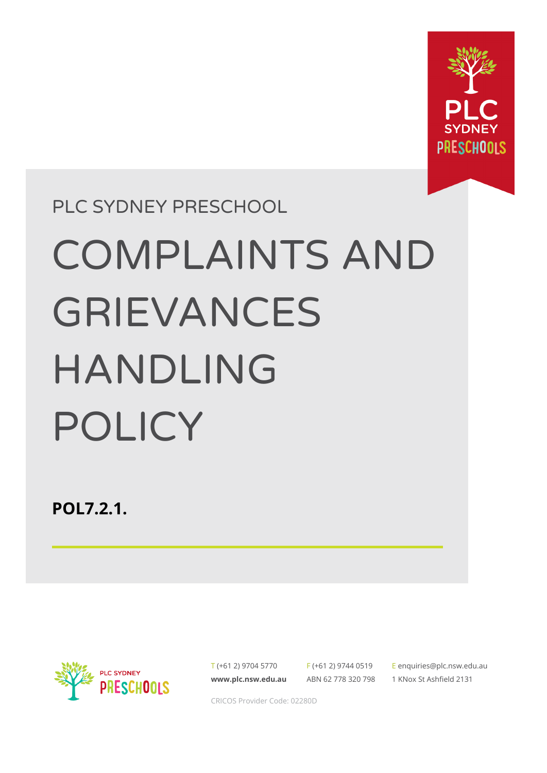

# PLC SYDNEY PRESCHOOL COMPLAINTS AND GRIEVANCES HANDLING POLICY

**POL7.2.1.**



T (+61 2) 9704 5770 **[www.plc.nsw.edu.au](http://www.plc.nsw.edu.au)**

F (+61 2) 9744 0519 ABN 62 778 320 798 E [enquiries@plc.nsw.edu.au](mailto:enquiries@plc.nsw.edu.au) 1 KNox St Ashfield 2131

CRICOS Provider Code: 02280D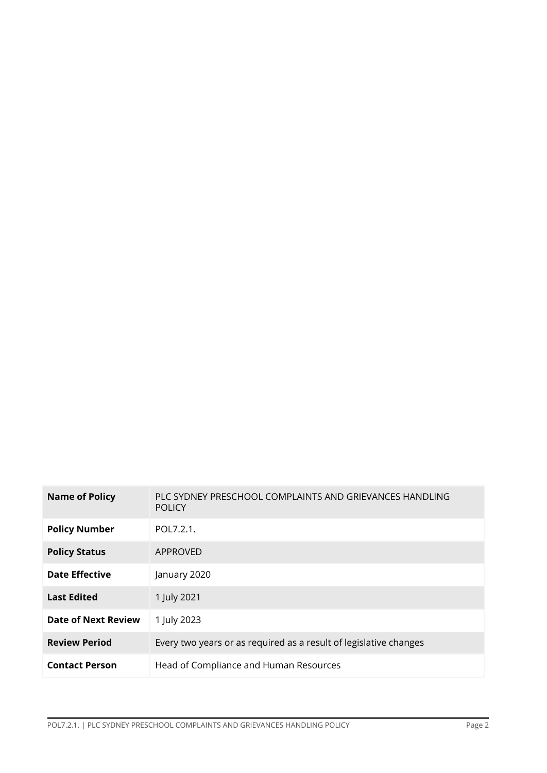| <b>Name of Policy</b>      | PLC SYDNEY PRESCHOOL COMPLAINTS AND GRIEVANCES HANDLING<br><b>POLICY</b> |
|----------------------------|--------------------------------------------------------------------------|
| <b>Policy Number</b>       | POL7.2.1.                                                                |
| <b>Policy Status</b>       | APPROVED                                                                 |
| Date Effective             | January 2020                                                             |
| <b>Last Edited</b>         | 1 July 2021                                                              |
| <b>Date of Next Review</b> | 1 July 2023                                                              |
| <b>Review Period</b>       | Every two years or as required as a result of legislative changes        |
| <b>Contact Person</b>      | Head of Compliance and Human Resources                                   |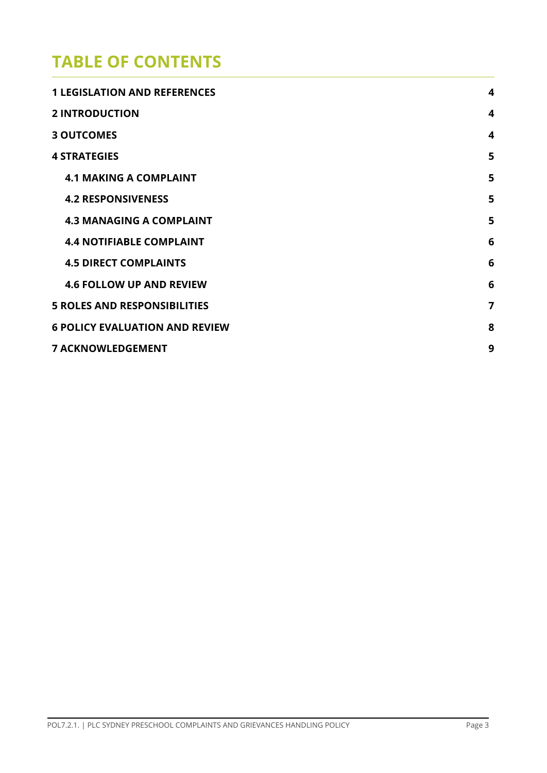## **TABLE OF CONTENTS**

| <b>1 LEGISLATION AND REFERENCES</b>   | $\overline{\mathbf{4}}$ |
|---------------------------------------|-------------------------|
| <b>2 INTRODUCTION</b>                 | 4                       |
| <b>3 OUTCOMES</b>                     | $\boldsymbol{4}$        |
| <b>4 STRATEGIES</b>                   | 5                       |
| <b>4.1 MAKING A COMPLAINT</b>         | 5                       |
| <b>4.2 RESPONSIVENESS</b>             | 5                       |
| <b>4.3 MANAGING A COMPLAINT</b>       | 5                       |
| <b>4.4 NOTIFIABLE COMPLAINT</b>       | 6                       |
| <b>4.5 DIRECT COMPLAINTS</b>          | 6                       |
| <b>4.6 FOLLOW UP AND REVIEW</b>       | 6                       |
| <b>5 ROLES AND RESPONSIBILITIES</b>   | 7                       |
| <b>6 POLICY EVALUATION AND REVIEW</b> | 8                       |
| <b>7 ACKNOWLEDGEMENT</b>              | 9                       |
|                                       |                         |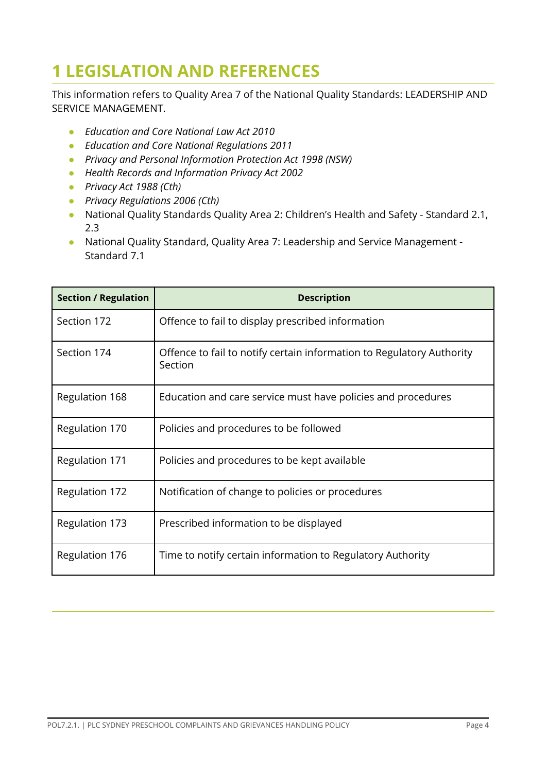# <span id="page-3-0"></span>**1 LEGISLATION AND REFERENCES**

This information refers to Quality Area 7 of the National Quality Standards: LEADERSHIP AND SERVICE MANAGEMENT.

- *Education and Care National Law Act 2010*
- *Education and Care National Regulations 2011*
- *Privacy and Personal Information Protection Act 1998 (NSW)*
- *● Health Records and Information Privacy Act 2002*
- *● Privacy Act 1988 (Cth)*
- *● Privacy Regulations 2006 (Cth)*
- National Quality Standards Quality Area 2: Children's Health and Safety Standard 2.1, 2.3
- National Quality Standard, Quality Area 7: Leadership and Service Management Standard 7.1

<span id="page-3-1"></span>

| <b>Section / Regulation</b> | <b>Description</b>                                                               |
|-----------------------------|----------------------------------------------------------------------------------|
| Section 172                 | Offence to fail to display prescribed information                                |
| Section 174                 | Offence to fail to notify certain information to Regulatory Authority<br>Section |
| Regulation 168              | Education and care service must have policies and procedures                     |
| Regulation 170              | Policies and procedures to be followed                                           |
| <b>Regulation 171</b>       | Policies and procedures to be kept available                                     |
| Regulation 172              | Notification of change to policies or procedures                                 |
| Regulation 173              | Prescribed information to be displayed                                           |
| Regulation 176              | Time to notify certain information to Regulatory Authority                       |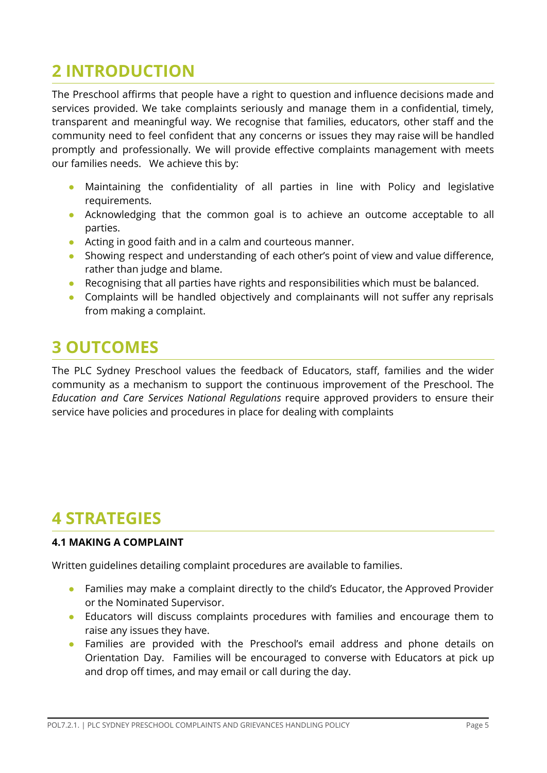# **2 INTRODUCTION**

The Preschool affirms that people have a right to question and influence decisions made and services provided. We take complaints seriously and manage them in a confidential, timely, transparent and meaningful way. We recognise that families, educators, other staff and the community need to feel confident that any concerns or issues they may raise will be handled promptly and professionally. We will provide effective complaints management with meets our families needs. We achieve this by:

- Maintaining the confidentiality of all parties in line with Policy and legislative requirements.
- Acknowledging that the common goal is to achieve an outcome acceptable to all parties.
- Acting in good faith and in a calm and courteous manner.
- Showing respect and understanding of each other's point of view and value difference, rather than judge and blame.
- Recognising that all parties have rights and responsibilities which must be balanced.
- Complaints will be handled objectively and complainants will not suffer any reprisals from making a complaint.

## <span id="page-4-0"></span>**3 OUTCOMES**

The PLC Sydney Preschool values the feedback of Educators, staff, families and the wider community as a mechanism to support the continuous improvement of the Preschool. The *Education and Care Services National Regulations* require approved providers to ensure their service have policies and procedures in place for dealing with complaints

## <span id="page-4-1"></span>**4 STRATEGIES**

#### <span id="page-4-2"></span>**4.1 MAKING A COMPLAINT**

Written guidelines detailing complaint procedures are available to families.

- Families may make a complaint directly to the child's Educator, the Approved Provider or the Nominated Supervisor.
- Educators will discuss complaints procedures with families and encourage them to raise any issues they have.
- Families are provided with the Preschool's email address and phone details on Orientation Day. Families will be encouraged to converse with Educators at pick up and drop off times, and may email or call during the day.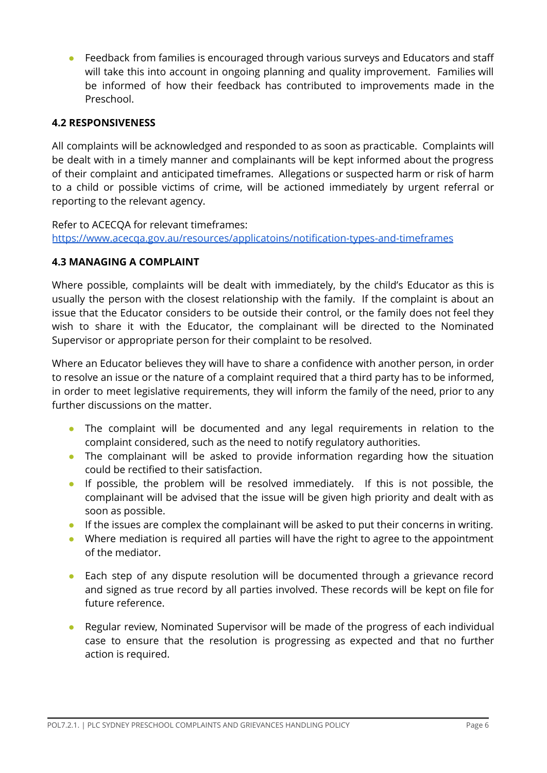● Feedback from families is encouraged through various surveys and Educators and staff will take this into account in ongoing planning and quality improvement. Families will be informed of how their feedback has contributed to improvements made in the Preschool.

#### <span id="page-5-0"></span>**4.2 RESPONSIVENESS**

All complaints will be acknowledged and responded to as soon as practicable. Complaints will be dealt with in a timely manner and complainants will be kept informed about the progress of their complaint and anticipated timeframes. Allegations or suspected harm or risk of harm to a child or possible victims of crime, will be actioned immediately by urgent referral or reporting to the relevant agency.

Refer to ACECQA for relevant timeframes: <https://www.acecqa.gov.au/resources/applicatoins/notification-types-and-timeframes>

#### <span id="page-5-1"></span>**4.3 MANAGING A COMPLAINT**

Where possible, complaints will be dealt with immediately, by the child's Educator as this is usually the person with the closest relationship with the family. If the complaint is about an issue that the Educator considers to be outside their control, or the family does not feel they wish to share it with the Educator, the complainant will be directed to the Nominated Supervisor or appropriate person for their complaint to be resolved.

Where an Educator believes they will have to share a confidence with another person, in order to resolve an issue or the nature of a complaint required that a third party has to be informed, in order to meet legislative requirements, they will inform the family of the need, prior to any further discussions on the matter.

- The complaint will be documented and any legal requirements in relation to the complaint considered, such as the need to notify regulatory authorities.
- The complainant will be asked to provide information regarding how the situation could be rectified to their satisfaction.
- If possible, the problem will be resolved immediately. If this is not possible, the complainant will be advised that the issue will be given high priority and dealt with as soon as possible.
- If the issues are complex the complainant will be asked to put their concerns in writing.
- Where mediation is required all parties will have the right to agree to the appointment of the mediator.
- Each step of any dispute resolution will be documented through a grievance record and signed as true record by all parties involved. These records will be kept on file for future reference.
- Regular review, Nominated Supervisor will be made of the progress of each individual case to ensure that the resolution is progressing as expected and that no further action is required.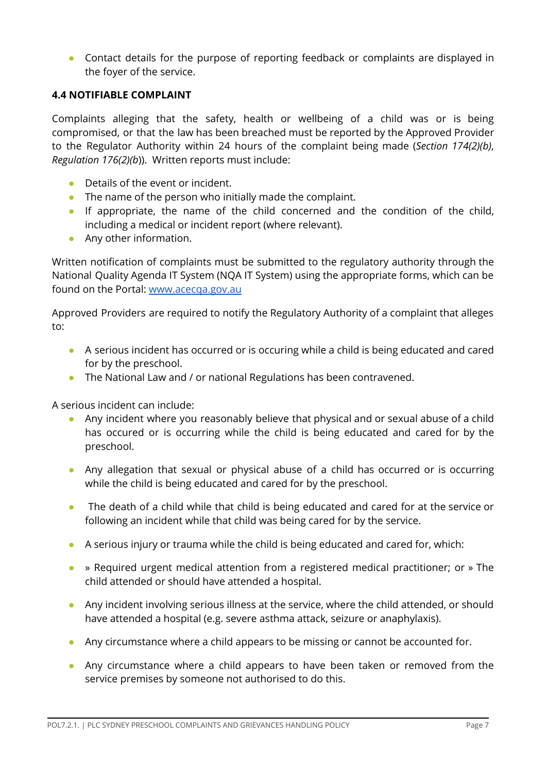• Contact details for the purpose of reporting feedback or complaints are displayed in the foyer of the service.

#### <span id="page-6-0"></span>**4.4 NOTIFIABLE COMPLAINT**

Complaints alleging that the safety, health or wellbeing of a child was or is being compromised, or that the law has been breached must be reported by the Approved Provider to the Regulator Authority within 24 hours of the complaint being made (*Section 174(2)(b)*, *Regulation 176(2)(b*)). Written reports must include:

- $\bullet$  Details of the event or incident.
- The name of the person who initially made the complaint.
- If appropriate, the name of the child concerned and the condition of the child, including a medical or incident report (where relevant).
- Any other information.

Written notification of complaints must be submitted to the regulatory authority through the National Quality Agenda IT System (NQA IT System) using the appropriate forms, which can be found on the Portal: [www.acecqa.gov.au](http://www.acecqa.gov.au)

Approved Providers are required to notify the Regulatory Authority of a complaint that alleges to:

- A serious incident has occurred or is occuring while a child is being educated and cared for by the preschool.
- The National Law and / or national Regulations has been contravened.

A serious incident can include:

- Any incident where you reasonably believe that physical and or sexual abuse of a child has occured or is occurring while the child is being educated and cared for by the preschool.
- Any allegation that sexual or physical abuse of a child has occurred or is occurring while the child is being educated and cared for by the preschool.
- The death of a child while that child is being educated and cared for at the service or following an incident while that child was being cared for by the service.
- A serious injury or trauma while the child is being educated and cared for, which:
- » Required urgent medical attention from a registered medical practitioner; or » The child attended or should have attended a hospital.
- Any incident involving serious illness at the service, where the child attended, or should have attended a hospital (e.g. severe asthma attack, seizure or anaphylaxis).
- Any circumstance where a child appears to be missing or cannot be accounted for.
- Any circumstance where a child appears to have been taken or removed from the service premises by someone not authorised to do this.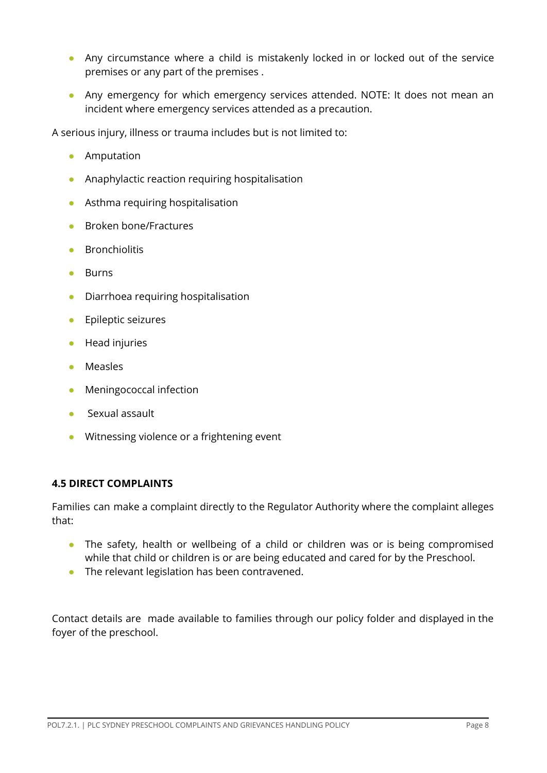- Any circumstance where a child is mistakenly locked in or locked out of the service premises or any part of the premises .
- Any emergency for which emergency services attended. NOTE: It does not mean an incident where emergency services attended as a precaution.

A serious injury, illness or trauma includes but is not limited to:

- Amputation
- Anaphylactic reaction requiring hospitalisation
- Asthma requiring hospitalisation
- Broken bone/Fractures
- Bronchiolitis
- Burns
- Diarrhoea requiring hospitalisation
- Epileptic seizures
- Head injuries
- Measles
- Meningococcal infection
- Sexual assault
- Witnessing violence or a frightening event

#### <span id="page-7-0"></span>**4.5 DIRECT COMPLAINTS**

Families can make a complaint directly to the Regulator Authority where the complaint alleges that:

- The safety, health or wellbeing of a child or children was or is being compromised while that child or children is or are being educated and cared for by the Preschool.
- The relevant legislation has been contravened.

Contact details are made available to families through our policy folder and displayed in the foyer of the preschool.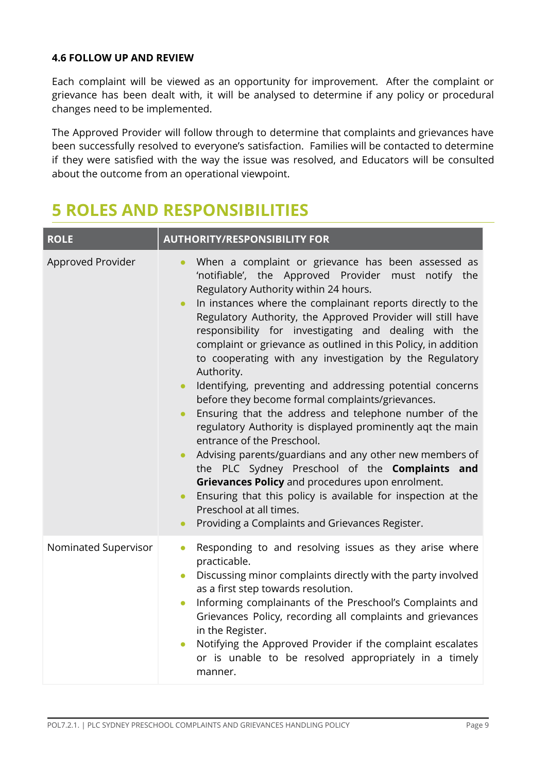#### <span id="page-8-0"></span>**4.6 FOLLOW UP AND REVIEW**

Each complaint will be viewed as an opportunity for improvement. After the complaint or grievance has been dealt with, it will be analysed to determine if any policy or procedural changes need to be implemented.

The Approved Provider will follow through to determine that complaints and grievances have been successfully resolved to everyone's satisfaction. Families will be contacted to determine if they were satisfied with the way the issue was resolved, and Educators will be consulted about the outcome from an operational viewpoint.

## <span id="page-8-1"></span>**5 ROLES AND RESPONSIBILITIES**

| <b>ROLE</b>          | <b>AUTHORITY/RESPONSIBILITY FOR</b>                                                                                                                                                                                                                                                                                                                                                                                                                                                                                                                                                                                                                                                                                                                                                                                                                                                                                                                                                                                                                                                                                                                                 |  |  |  |
|----------------------|---------------------------------------------------------------------------------------------------------------------------------------------------------------------------------------------------------------------------------------------------------------------------------------------------------------------------------------------------------------------------------------------------------------------------------------------------------------------------------------------------------------------------------------------------------------------------------------------------------------------------------------------------------------------------------------------------------------------------------------------------------------------------------------------------------------------------------------------------------------------------------------------------------------------------------------------------------------------------------------------------------------------------------------------------------------------------------------------------------------------------------------------------------------------|--|--|--|
| Approved Provider    | When a complaint or grievance has been assessed as<br>$\bullet$<br>'notifiable', the Approved Provider must notify the<br>Regulatory Authority within 24 hours.<br>In instances where the complainant reports directly to the<br>$\bullet$<br>Regulatory Authority, the Approved Provider will still have<br>responsibility for investigating and dealing with the<br>complaint or grievance as outlined in this Policy, in addition<br>to cooperating with any investigation by the Regulatory<br>Authority.<br>Identifying, preventing and addressing potential concerns<br>$\bullet$<br>before they become formal complaints/grievances.<br>Ensuring that the address and telephone number of the<br>$\bullet$<br>regulatory Authority is displayed prominently aqt the main<br>entrance of the Preschool.<br>Advising parents/guardians and any other new members of<br>$\bullet$<br>the PLC Sydney Preschool of the Complaints and<br>Grievances Policy and procedures upon enrolment.<br>Ensuring that this policy is available for inspection at the<br>$\bullet$<br>Preschool at all times.<br>Providing a Complaints and Grievances Register.<br>$\bullet$ |  |  |  |
| Nominated Supervisor | Responding to and resolving issues as they arise where<br>$\bullet$<br>practicable.<br>Discussing minor complaints directly with the party involved<br>$\bullet$<br>as a first step towards resolution.<br>Informing complainants of the Preschool's Complaints and<br>$\bullet$<br>Grievances Policy, recording all complaints and grievances<br>in the Register.<br>Notifying the Approved Provider if the complaint escalates<br>$\bullet$<br>or is unable to be resolved appropriately in a timely<br>manner.                                                                                                                                                                                                                                                                                                                                                                                                                                                                                                                                                                                                                                                   |  |  |  |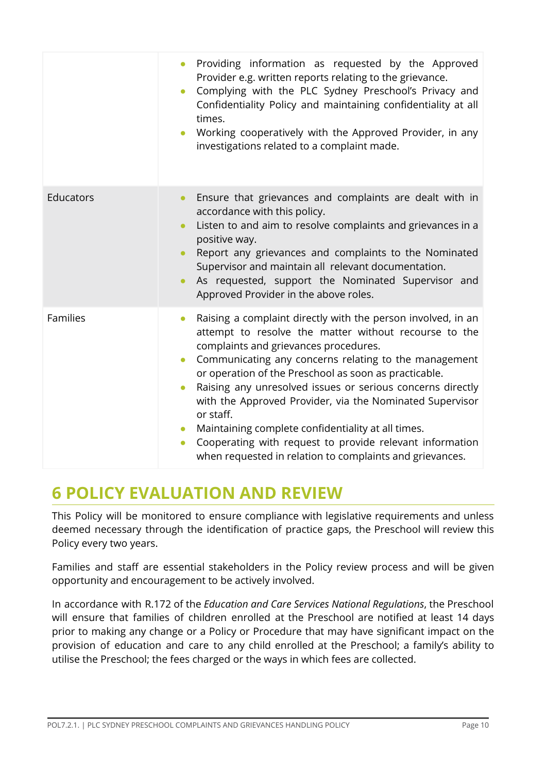|                 | Providing information as requested by the Approved<br>$\bullet$<br>Provider e.g. written reports relating to the grievance.<br>Complying with the PLC Sydney Preschool's Privacy and<br>$\bullet$<br>Confidentiality Policy and maintaining confidentiality at all<br>times.<br>Working cooperatively with the Approved Provider, in any<br>$\bullet$<br>investigations related to a complaint made.                                                                                                                                                                                                                                                                   |
|-----------------|------------------------------------------------------------------------------------------------------------------------------------------------------------------------------------------------------------------------------------------------------------------------------------------------------------------------------------------------------------------------------------------------------------------------------------------------------------------------------------------------------------------------------------------------------------------------------------------------------------------------------------------------------------------------|
| Educators       | Ensure that grievances and complaints are dealt with in<br>$\bullet$<br>accordance with this policy.<br>Listen to and aim to resolve complaints and grievances in a<br>$\bullet$<br>positive way.<br>Report any grievances and complaints to the Nominated<br>Supervisor and maintain all relevant documentation.<br>As requested, support the Nominated Supervisor and<br>Approved Provider in the above roles.                                                                                                                                                                                                                                                       |
| <b>Families</b> | Raising a complaint directly with the person involved, in an<br>$\bullet$<br>attempt to resolve the matter without recourse to the<br>complaints and grievances procedures.<br>Communicating any concerns relating to the management<br>$\bullet$<br>or operation of the Preschool as soon as practicable.<br>Raising any unresolved issues or serious concerns directly<br>$\bullet$<br>with the Approved Provider, via the Nominated Supervisor<br>or staff.<br>Maintaining complete confidentiality at all times.<br>$\bullet$<br>Cooperating with request to provide relevant information<br>$\bullet$<br>when requested in relation to complaints and grievances. |

## <span id="page-9-0"></span>**6 POLICY EVALUATION AND REVIEW**

This Policy will be monitored to ensure compliance with legislative requirements and unless deemed necessary through the identification of practice gaps, the Preschool will review this Policy every two years.

Families and staff are essential stakeholders in the Policy review process and will be given opportunity and encouragement to be actively involved.

In accordance with R.172 of the *Education and Care Services National Regulations*, the Preschool will ensure that families of children enrolled at the Preschool are notified at least 14 days prior to making any change or a Policy or Procedure that may have significant impact on the provision of education and care to any child enrolled at the Preschool; a family's ability to utilise the Preschool; the fees charged or the ways in which fees are collected.